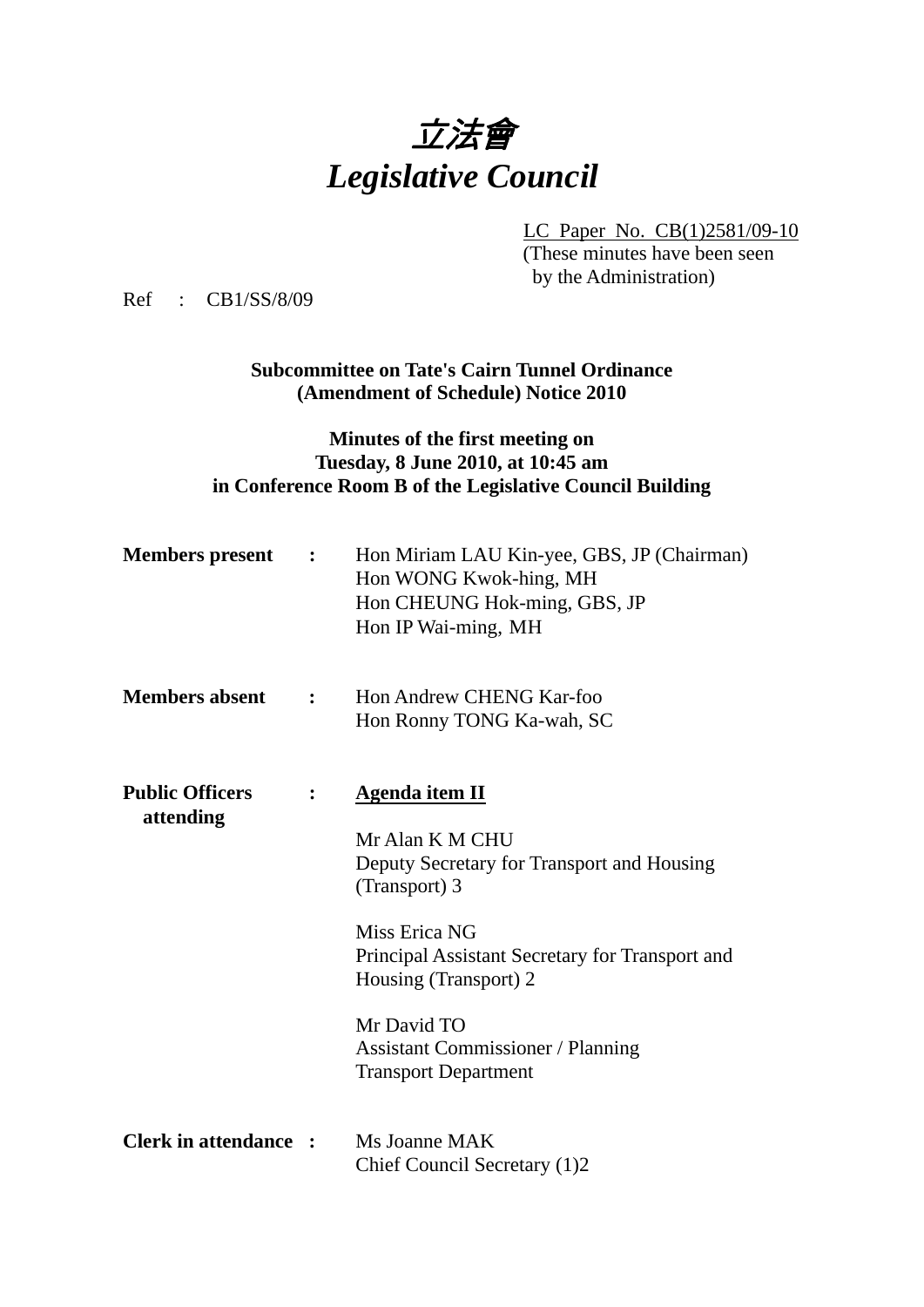

LC Paper No. CB(1)2581/09-10

(These minutes have been seen by the Administration)

Ref : CB1/SS/8/09

**Subcommittee on Tate's Cairn Tunnel Ordinance (Amendment of Schedule) Notice 2010**

## **Minutes of the first meeting on Tuesday, 8 June 2010, at 10:45 am in Conference Room B of the Legislative Council Building**

| <b>Members</b> present              | $\mathbf{L}$ . The set of $\mathbf{L}$ | Hon Miriam LAU Kin-yee, GBS, JP (Chairman)<br>Hon WONG Kwok-hing, MH<br>Hon CHEUNG Hok-ming, GBS, JP<br>Hon IP Wai-ming, MH |
|-------------------------------------|----------------------------------------|-----------------------------------------------------------------------------------------------------------------------------|
| <b>Members absent</b>               | $\mathbf{L}$                           | Hon Andrew CHENG Kar-foo<br>Hon Ronny TONG Ka-wah, SC                                                                       |
| <b>Public Officers</b><br>attending |                                        | <b>Agenda item II</b><br>Mr Alan K M CHU<br>Deputy Secretary for Transport and Housing                                      |
|                                     |                                        | (Transport) 3                                                                                                               |
|                                     |                                        | Miss Erica NG<br>Principal Assistant Secretary for Transport and<br>Housing (Transport) 2                                   |
|                                     |                                        | Mr David TO<br><b>Assistant Commissioner / Planning</b><br><b>Transport Department</b>                                      |
| <b>Clerk in attendance :</b>        |                                        | Ms Joanne MAK<br>Chief Council Secretary (1)2                                                                               |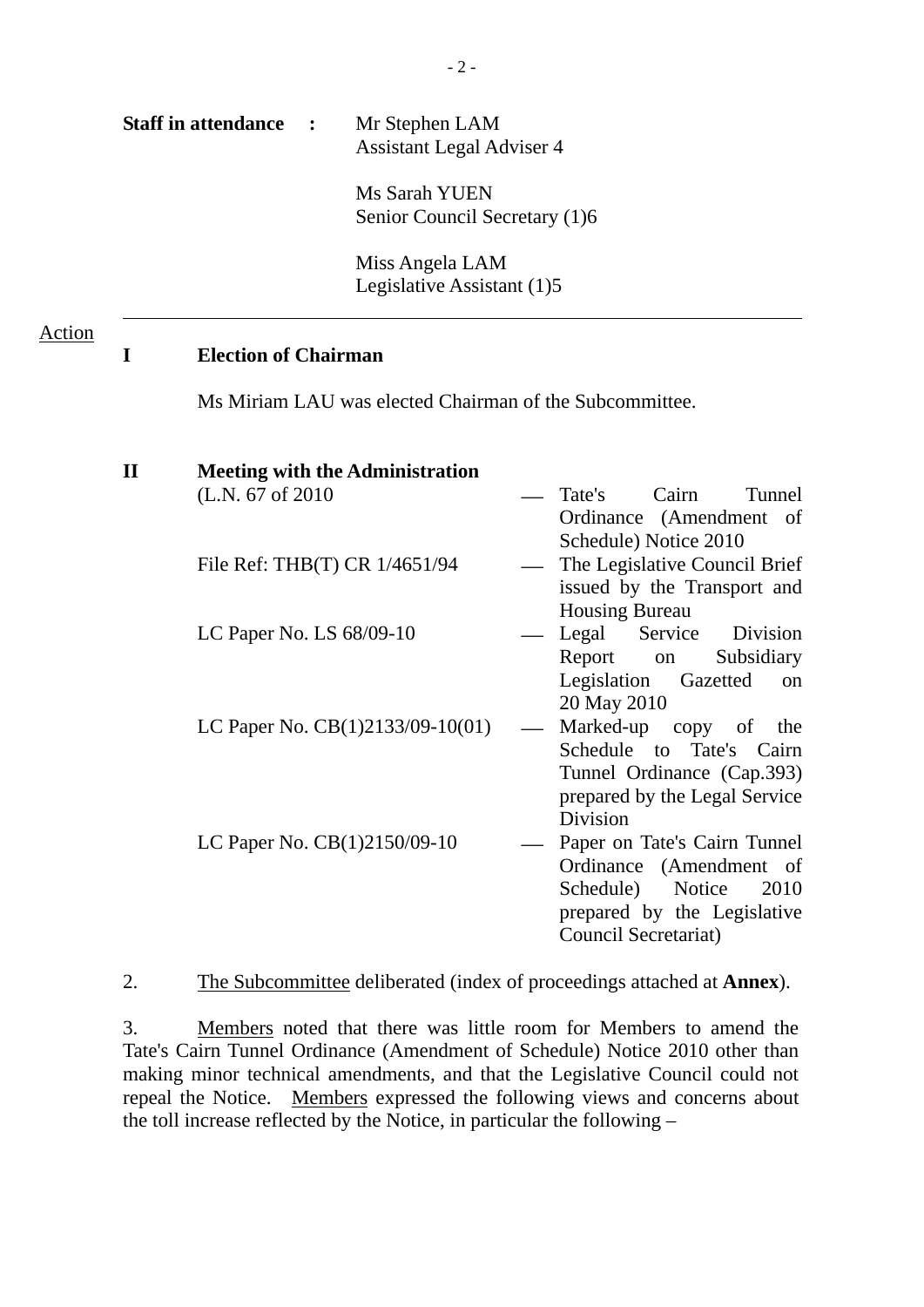| <b>Staff in attendance :</b> | Mr Stephen LAM<br><b>Assistant Legal Adviser 4</b> |
|------------------------------|----------------------------------------------------|
|                              | Ms Sarah YUEN<br>Senior Council Secretary (1)6     |
|                              | Miss Angela LAM<br>Legislative Assistant (1)5      |

## **I Election of Chairman**

Action

Ms Miriam LAU was elected Chairman of the Subcommittee.

| $\mathbf{I}\mathbf{I}$ | <b>Meeting with the Administration</b> |                               |
|------------------------|----------------------------------------|-------------------------------|
|                        | (L.N. 67 of 2010)                      | Tate's Cairn<br>Tunnel        |
|                        |                                        | Ordinance (Amendment of       |
|                        |                                        | Schedule) Notice 2010         |
|                        | File Ref: THB(T) CR 1/4651/94          | The Legislative Council Brief |
|                        |                                        | issued by the Transport and   |
|                        |                                        | Housing Bureau                |
|                        | LC Paper No. LS $68/09-10$             | Legal Service Division        |
|                        |                                        | Subsidiary<br>Report on       |
|                        |                                        | Legislation Gazetted<br>on    |
|                        |                                        | 20 May 2010                   |
|                        | LC Paper No. $CB(1)2133/09-10(01)$     | Marked-up copy of<br>the      |
|                        |                                        | Schedule to Tate's Cairn      |
|                        |                                        | Tunnel Ordinance (Cap.393)    |
|                        |                                        | prepared by the Legal Service |
|                        |                                        | Division                      |
|                        | LC Paper No. CB(1)2150/09-10           | Paper on Tate's Cairn Tunnel  |
|                        |                                        | Ordinance (Amendment of       |
|                        |                                        | Schedule) Notice<br>2010      |
|                        |                                        | prepared by the Legislative   |
|                        |                                        | Council Secretariat)          |
|                        |                                        |                               |

2. The Subcommittee deliberated (index of proceedings attached at **Annex**).

3. Members noted that there was little room for Members to amend the Tate's Cairn Tunnel Ordinance (Amendment of Schedule) Notice 2010 other than making minor technical amendments, and that the Legislative Council could not repeal the Notice. Members expressed the following views and concerns about the toll increase reflected by the Notice, in particular the following –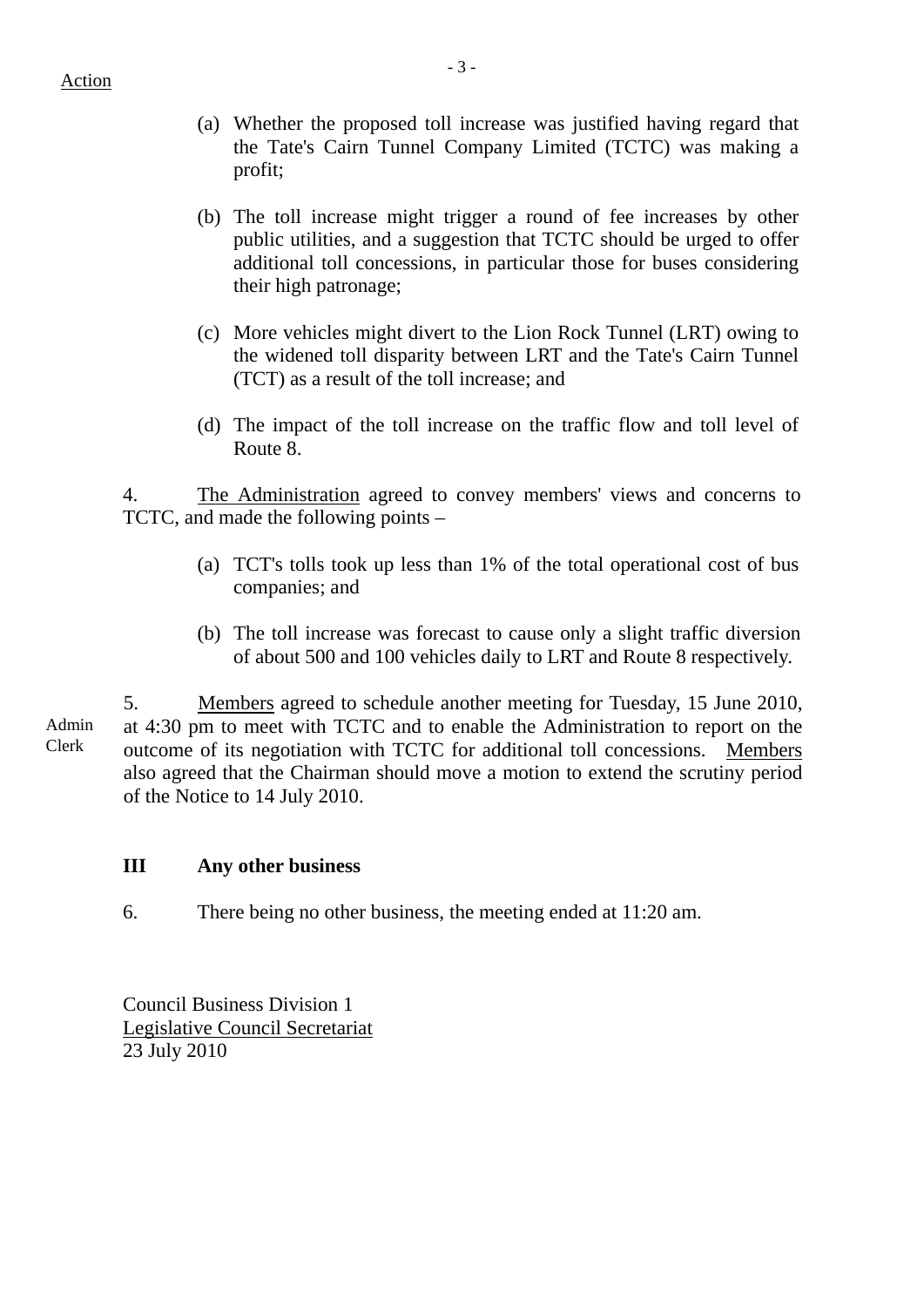- (a) Whether the proposed toll increase was justified having regard that the Tate's Cairn Tunnel Company Limited (TCTC) was making a profit;
- (b) The toll increase might trigger a round of fee increases by other public utilities, and a suggestion that TCTC should be urged to offer additional toll concessions, in particular those for buses considering their high patronage;
- (c) More vehicles might divert to the Lion Rock Tunnel (LRT) owing to the widened toll disparity between LRT and the Tate's Cairn Tunnel (TCT) as a result of the toll increase; and
- (d) The impact of the toll increase on the traffic flow and toll level of Route 8.

4. The Administration agreed to convey members' views and concerns to TCTC, and made the following points –

- (a) TCT's tolls took up less than 1% of the total operational cost of bus companies; and
- (b) The toll increase was forecast to cause only a slight traffic diversion of about 500 and 100 vehicles daily to LRT and Route 8 respectively.

Admin Clerk 5. Members agreed to schedule another meeting for Tuesday, 15 June 2010, at 4:30 pm to meet with TCTC and to enable the Administration to report on the outcome of its negotiation with TCTC for additional toll concessions. Members also agreed that the Chairman should move a motion to extend the scrutiny period of the Notice to 14 July 2010.

## **III Any other business**

6. There being no other business, the meeting ended at 11:20 am.

Council Business Division 1 Legislative Council Secretariat 23 July 2010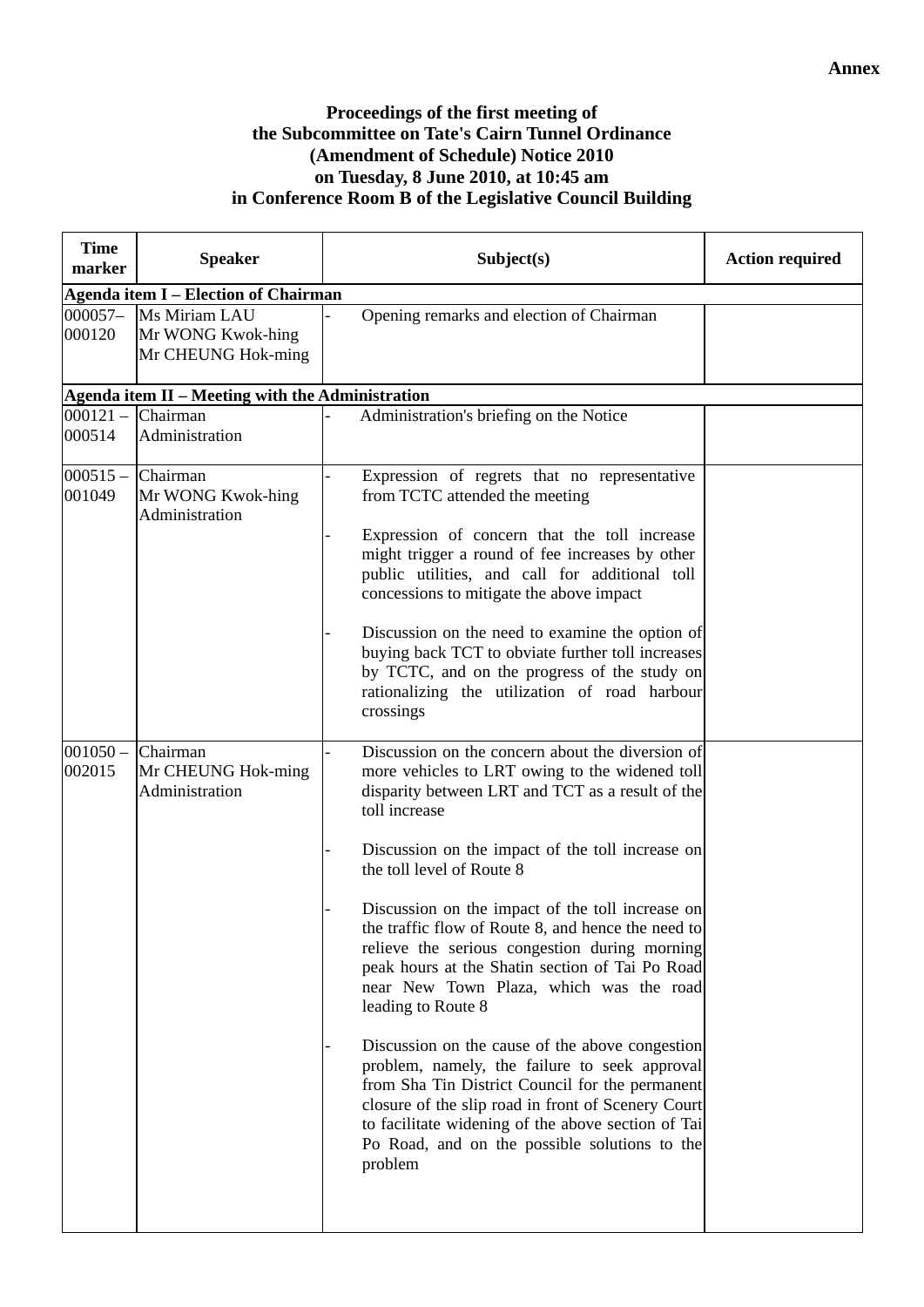## **Proceedings of the first meeting of the Subcommittee on Tate's Cairn Tunnel Ordinance (Amendment of Schedule) Notice 2010 on Tuesday, 8 June 2010, at 10:45 am in Conference Room B of the Legislative Council Building**

| <b>Time</b><br>marker         | <b>Speaker</b>                                           | Subject(s)                                                                                                                                                                                                                                                                                                                                                                                                                                                                                                                                                                                                                                                                                                                                                                                                                                                             | <b>Action required</b> |  |  |  |
|-------------------------------|----------------------------------------------------------|------------------------------------------------------------------------------------------------------------------------------------------------------------------------------------------------------------------------------------------------------------------------------------------------------------------------------------------------------------------------------------------------------------------------------------------------------------------------------------------------------------------------------------------------------------------------------------------------------------------------------------------------------------------------------------------------------------------------------------------------------------------------------------------------------------------------------------------------------------------------|------------------------|--|--|--|
|                               | <b>Agenda item I - Election of Chairman</b>              |                                                                                                                                                                                                                                                                                                                                                                                                                                                                                                                                                                                                                                                                                                                                                                                                                                                                        |                        |  |  |  |
| 000057-<br>000120             | Ms Miriam LAU<br>Mr WONG Kwok-hing<br>Mr CHEUNG Hok-ming | Opening remarks and election of Chairman                                                                                                                                                                                                                                                                                                                                                                                                                                                                                                                                                                                                                                                                                                                                                                                                                               |                        |  |  |  |
|                               | Agenda item II - Meeting with the Administration         |                                                                                                                                                                                                                                                                                                                                                                                                                                                                                                                                                                                                                                                                                                                                                                                                                                                                        |                        |  |  |  |
| $000121 -$<br>000514          | Chairman<br>Administration                               | Administration's briefing on the Notice                                                                                                                                                                                                                                                                                                                                                                                                                                                                                                                                                                                                                                                                                                                                                                                                                                |                        |  |  |  |
| $000515 -$ Chairman<br>001049 | Mr WONG Kwok-hing<br>Administration                      | Expression of regrets that no representative<br>from TCTC attended the meeting<br>Expression of concern that the toll increase<br>might trigger a round of fee increases by other<br>public utilities, and call for additional toll<br>concessions to mitigate the above impact<br>Discussion on the need to examine the option of<br>buying back TCT to obviate further toll increases<br>by TCTC, and on the progress of the study on<br>rationalizing the utilization of road harbour<br>crossings                                                                                                                                                                                                                                                                                                                                                                  |                        |  |  |  |
| $001050 -$<br>002015          | Chairman<br>Mr CHEUNG Hok-ming<br>Administration         | Discussion on the concern about the diversion of<br>more vehicles to LRT owing to the widened toll<br>disparity between LRT and TCT as a result of the<br>toll increase<br>Discussion on the impact of the toll increase on<br>the toll level of Route 8<br>Discussion on the impact of the toll increase on<br>the traffic flow of Route 8, and hence the need to<br>relieve the serious congestion during morning<br>peak hours at the Shatin section of Tai Po Road<br>near New Town Plaza, which was the road<br>leading to Route 8<br>Discussion on the cause of the above congestion<br>problem, namely, the failure to seek approval<br>from Sha Tin District Council for the permanent<br>closure of the slip road in front of Scenery Court<br>to facilitate widening of the above section of Tai<br>Po Road, and on the possible solutions to the<br>problem |                        |  |  |  |